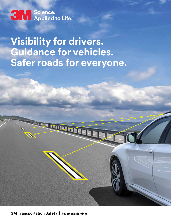SW Science.<br>SW Applied to Life.™

**Visibility for drivers. Guidance for vehicles. Safer roads for everyone.**

**3M Transportation Safety | Pavement Markings 3M Transportation Safety | Pavement Markings**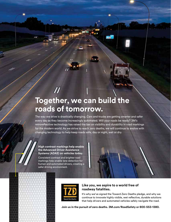# **Together, we can build the roads of tomorrow.**

The way we drive is drastically changing. Cars and trucks are getting smarter and safer every day as they become increasingly automated. Will your roads be ready? 3M's retroreflective technology has raised the bar on visibility and durability in road markings for the modern world. As we strive to reach zero deaths, we will continue to evolve with changing technology to help keep roads safe, day or night, wet or dry.

#### **High contrast markings help enable the Advanced Driver Assistance Systems (ADAS) on vehicles today.**

Consistent contrast and brighter road markings help enable lane detection for human and automated drivers, creating a safer driving environment.



#### **Like you, we aspire to a world free of roadway fatalities.**

It's why we've signed the Toward Zero Deaths pledge, and why we continue to innovate highly visible, wet reflective, durable solutions that help drivers and automated vehicles safely navigate the road.

**Join us in the pursuit of zero deaths. 3M.com/RoadSafety or 800-553-1380.**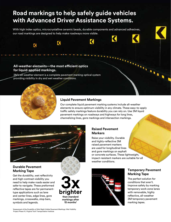## **Road markings to help safely guide vehicles with Advanced Driver Assistance Systems.**

With high index optics, microcrystalline ceramic beads, durable components and advanced adhesives, our road markings are designed to help make roadways more visible.

К

#### **All-weather elements—the most efficient optics for liquid-applied markings.**

 $\overline{\mathbf{C}}$ 

3M's all-weather element is a complete pavement marking optical system providing visibility in dry and wet weather conditions.

K

#### **Liquid Pavement Markings**

Our complete liquid pavement marking systems include all-weather elements to ensure optimum visibility in any climate. These easy-to-apply traffic safety markings feature durability you can rely on. Use 3M liquid pavement markings on roadways and highways for long lines, channelizing lines, gore markings and intersection markings.



#### **Durable Pavement Marking Tape**

Get the durability, wet reflectivity and high-contrast visibility you need to help make roads easier and safer to navigate. These preformed reflective tapes are for permanenttype applications such as lane and center lines, edge lines, gore markings, crosswalks, stop bars, symbols and legends.



#### 1 Assessment of the Durability of Wet Night Visible Pavement Markings: Wet Visibility Project Phase IV; Virginia Tech Transportation Institute

### **Raised Pavement Markers**

Raise your visibility. Durable and highly-reflective 3M raised pavement markers are used for longitudinal lines and gore markings on asphalt or concrete surfaces. These lightweight, impact-resistant markers are suitable for all weather conditions.



### **Temporary Pavement Marking Tape**

 $\mathbf{u}_k$ 

The perfect solution for conditions that aren't. Improve safety by marking temporary work zone lanes with removable, highly reflective, all-weather 3M temporary pavement marking tapes.